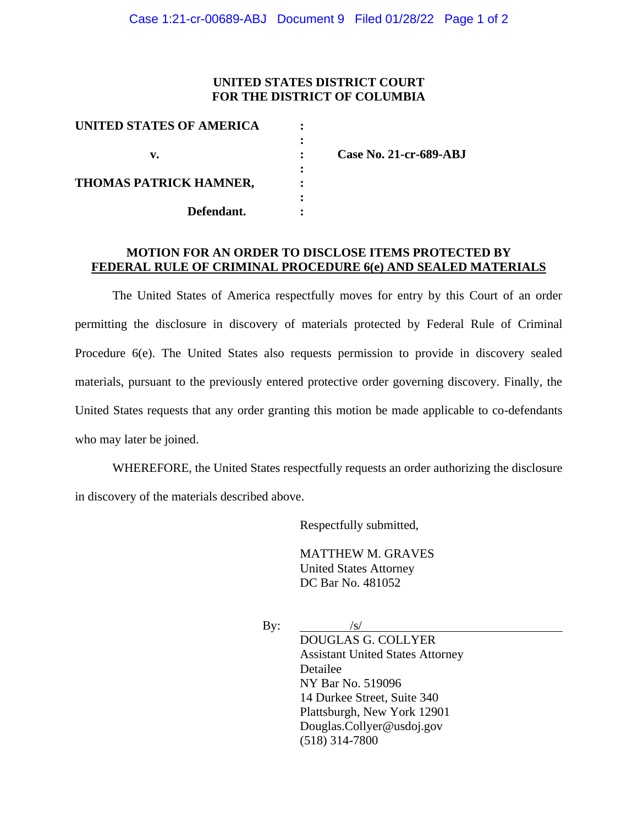## **UNITED STATES DISTRICT COURT FOR THE DISTRICT OF COLUMBIA**

| Case No. 21-cr-689-ABJ |
|------------------------|
|                        |
|                        |
|                        |
|                        |
|                        |

## **MOTION FOR AN ORDER TO DISCLOSE ITEMS PROTECTED BY FEDERAL RULE OF CRIMINAL PROCEDURE 6(e) AND SEALED MATERIALS**

The United States of America respectfully moves for entry by this Court of an order permitting the disclosure in discovery of materials protected by Federal Rule of Criminal Procedure 6(e). The United States also requests permission to provide in discovery sealed materials, pursuant to the previously entered protective order governing discovery. Finally, the United States requests that any order granting this motion be made applicable to co-defendants who may later be joined.

WHEREFORE, the United States respectfully requests an order authorizing the disclosure in discovery of the materials described above.

Respectfully submitted,

MATTHEW M. GRAVES United States Attorney DC Bar No. 481052

By:  $/s/$ 

DOUGLAS G. COLLYER Assistant United States Attorney Detailee NY Bar No. 519096 14 Durkee Street, Suite 340 Plattsburgh, New York 12901 Douglas.Collyer@usdoj.gov (518) 314-7800